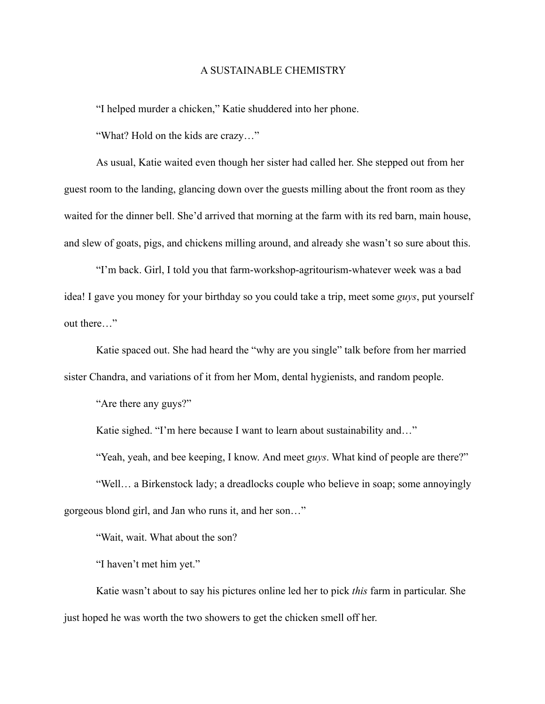## A SUSTAINABLE CHEMISTRY

"I helped murder a chicken," Katie shuddered into her phone.

"What? Hold on the kids are crazy…"

As usual, Katie waited even though her sister had called her. She stepped out from her guest room to the landing, glancing down over the guests milling about the front room as they waited for the dinner bell. She'd arrived that morning at the farm with its red barn, main house, and slew of goats, pigs, and chickens milling around, and already she wasn't so sure about this.

"I'm back. Girl, I told you that farm-workshop-agritourism-whatever week was a bad idea! I gave you money for your birthday so you could take a trip, meet some *guys*, put yourself out there…"

Katie spaced out. She had heard the "why are you single" talk before from her married sister Chandra, and variations of it from her Mom, dental hygienists, and random people.

"Are there any guys?"

Katie sighed. "I'm here because I want to learn about sustainability and..."

"Yeah, yeah, and bee keeping, I know. And meet *guys*. What kind of people are there?"

"Well… a Birkenstock lady; a dreadlocks couple who believe in soap; some annoyingly gorgeous blond girl, and Jan who runs it, and her son…"

"Wait, wait. What about the son?

"I haven't met him yet."

Katie wasn't about to say his pictures online led her to pick *this* farm in particular. She just hoped he was worth the two showers to get the chicken smell off her.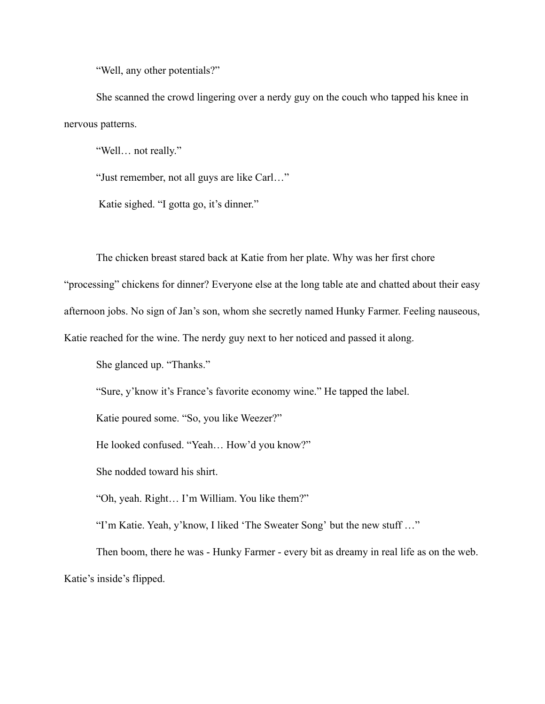"Well, any other potentials?"

She scanned the crowd lingering over a nerdy guy on the couch who tapped his knee in nervous patterns.

"Well… not really."

"Just remember, not all guys are like Carl…"

Katie sighed. "I gotta go, it's dinner."

The chicken breast stared back at Katie from her plate. Why was her first chore

"processing" chickens for dinner? Everyone else at the long table ate and chatted about their easy afternoon jobs. No sign of Jan's son, whom she secretly named Hunky Farmer. Feeling nauseous,

Katie reached for the wine. The nerdy guy next to her noticed and passed it along.

She glanced up. "Thanks."

"Sure, y'know it's France's favorite economy wine." He tapped the label.

Katie poured some. "So, you like Weezer?"

He looked confused. "Yeah… How'd you know?"

She nodded toward his shirt.

"Oh, yeah. Right… I'm William. You like them?"

"I'm Katie. Yeah, y'know, I liked 'The Sweater Song' but the new stuff …"

Then boom, there he was - Hunky Farmer - every bit as dreamy in real life as on the web. Katie's inside's flipped.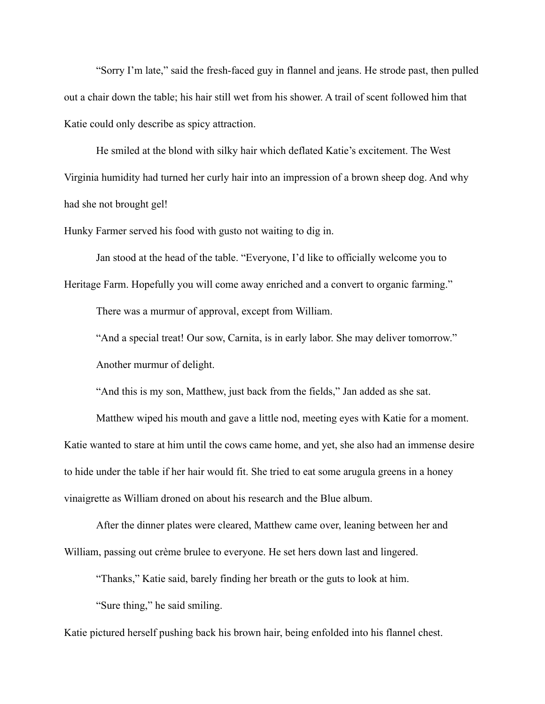"Sorry I'm late," said the fresh-faced guy in flannel and jeans. He strode past, then pulled out a chair down the table; his hair still wet from his shower. A trail of scent followed him that Katie could only describe as spicy attraction.

He smiled at the blond with silky hair which deflated Katie's excitement. The West Virginia humidity had turned her curly hair into an impression of a brown sheep dog. And why had she not brought gel!

Hunky Farmer served his food with gusto not waiting to dig in.

Jan stood at the head of the table. "Everyone, I'd like to officially welcome you to Heritage Farm. Hopefully you will come away enriched and a convert to organic farming."

There was a murmur of approval, except from William.

"And a special treat! Our sow, Carnita, is in early labor. She may deliver tomorrow."

Another murmur of delight.

"And this is my son, Matthew, just back from the fields," Jan added as she sat.

Matthew wiped his mouth and gave a little nod, meeting eyes with Katie for a moment. Katie wanted to stare at him until the cows came home, and yet, she also had an immense desire to hide under the table if her hair would fit. She tried to eat some arugula greens in a honey vinaigrette as William droned on about his research and the Blue album.

After the dinner plates were cleared, Matthew came over, leaning between her and William, passing out crème brulee to everyone. He set hers down last and lingered.

"Thanks," Katie said, barely finding her breath or the guts to look at him.

"Sure thing," he said smiling.

Katie pictured herself pushing back his brown hair, being enfolded into his flannel chest.